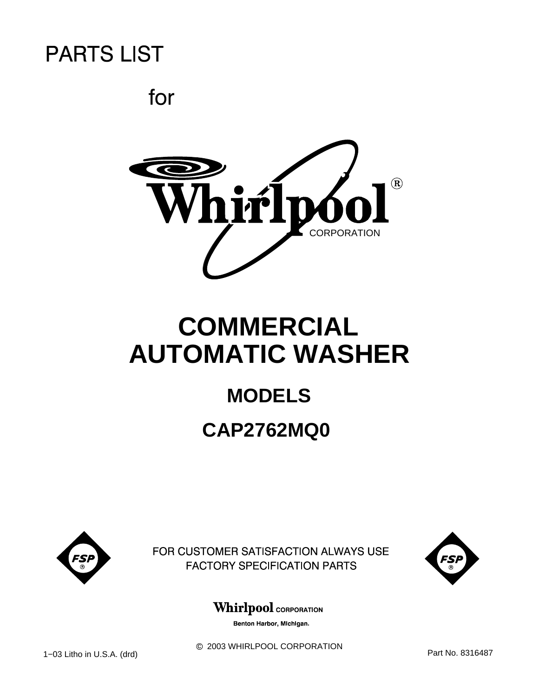for



# **COMMERCIAL AUTOMATIC WASHER**

# **MODELS CAP2762MQ0**



FOR CUSTOMER SATISFACTION ALWAYS USE **FACTORY SPECIFICATION PARTS** 



### **Whirlpool** CORPORATION

Benton Harbor, Michigan.

 $@$  2003 WHIRLPOOL CORPORATION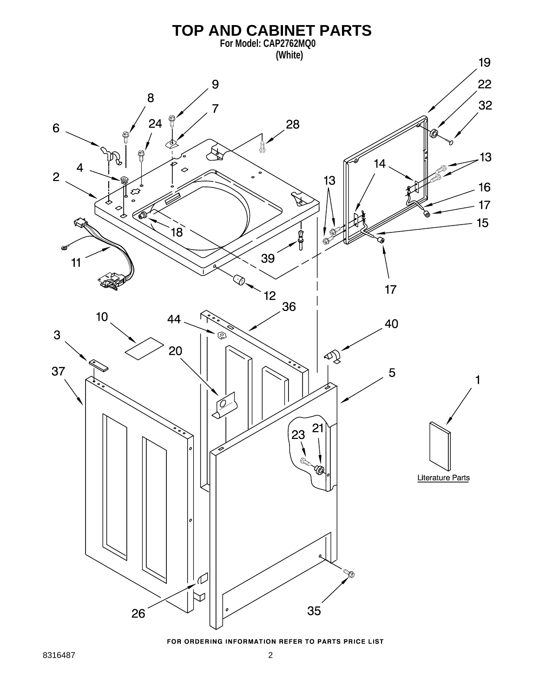

FOR ORDERING INFORMATION REFER TO PARTS PRICE LIST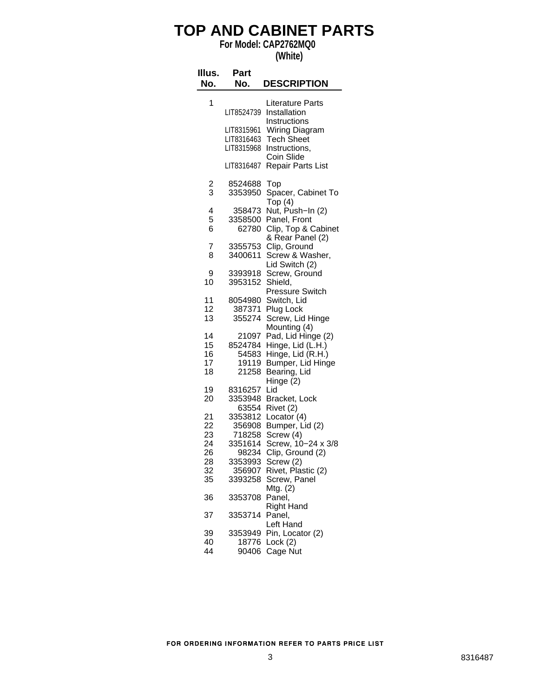## **TOP AND CABINET PARTS**

**For Model: CAP2762MQ0**

**(White)**

| Illus.<br>No.              | Part<br>No.                                     | <b>DESCRIPTION</b>                                                                                |
|----------------------------|-------------------------------------------------|---------------------------------------------------------------------------------------------------|
| 1                          | LIT8524739                                      | Literature Parts<br>Installation                                                                  |
|                            | LIT8315961<br>LIT8316463<br>LIT8315968          | Instructions<br>Wiring Diagram<br><b>Tech Sheet</b><br>Instructions,                              |
|                            | LIT8316487                                      | Coin Slide<br>Repair Parts List                                                                   |
| $\frac{2}{3}$              | 8524688<br>3353950                              | Top<br>Spacer, Cabinet To<br>Top(4)                                                               |
| 4<br>5<br>6                | 358473<br>3358500<br>62780                      | Nut, Push-In (2)<br>Panel, Front<br>Clip, Top & Cabinet<br>& Rear Panel (2)                       |
| 7<br>8                     | 3355753<br>3400611                              | Clip, Ground<br>Screw & Washer,<br>Lid Switch (2)                                                 |
| 9<br>10                    | 3393918<br>3953152                              | Screw, Ground<br>Shield,<br>Pressure Switch                                                       |
| 11<br>12<br>13             | 8054980<br>387371<br>355274                     | Switch, Lid<br>Plug Lock<br>Screw, Lid Hinge<br>Mounting (4)                                      |
| 14<br>15<br>16<br>17<br>18 | 21097<br>8524784<br>54583<br>19119<br>21258     | Pad, Lid Hinge (2)<br>Hinge, Lid (L.H.)<br>Hinge, Lid (R.H.)<br>Bumper, Lid Hinge<br>Bearing, Lid |
| 19<br>20                   | 8316257<br>3353948                              | Hinge (2)<br>Lid<br>Bracket, Lock                                                                 |
| 21<br>22<br>23<br>24       | 63554<br>3353812<br>356908<br>718258<br>3351614 | Rivet (2)<br>Locator (4)<br>Bumper, Lid (2)<br>Screw (4)<br>Screw, 10-24 x 3/8                    |
| 26<br>28<br>32<br>35       | 98234<br>3353993<br>356907<br>3393258           | Clip, Ground (2)<br>Screw (2)<br>Rivet, Plastic (2)<br>Screw, Panel                               |
| 36                         | 3353708                                         | Mtg. (2)<br>Panel,<br>Right Hand                                                                  |
| 37                         | 3353714                                         | Panel,<br>Left Hand                                                                               |
| 39<br>40<br>44             | 3353949<br>18776<br>90406                       | Pin, Locator (2)<br>Lock (2)<br>Cage Nut                                                          |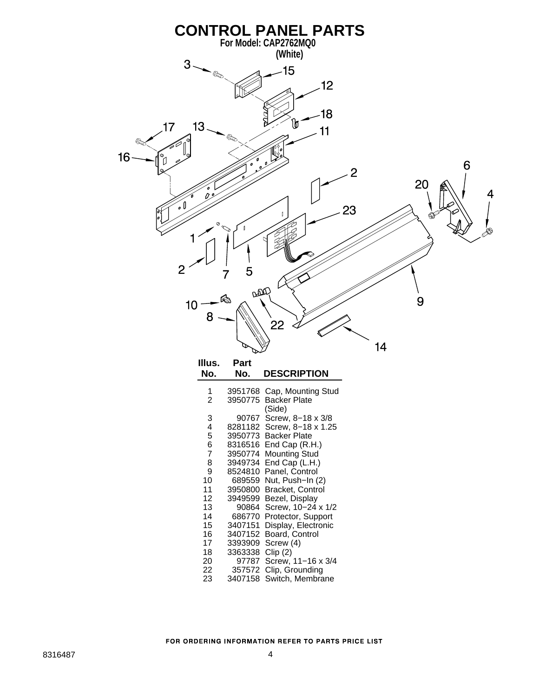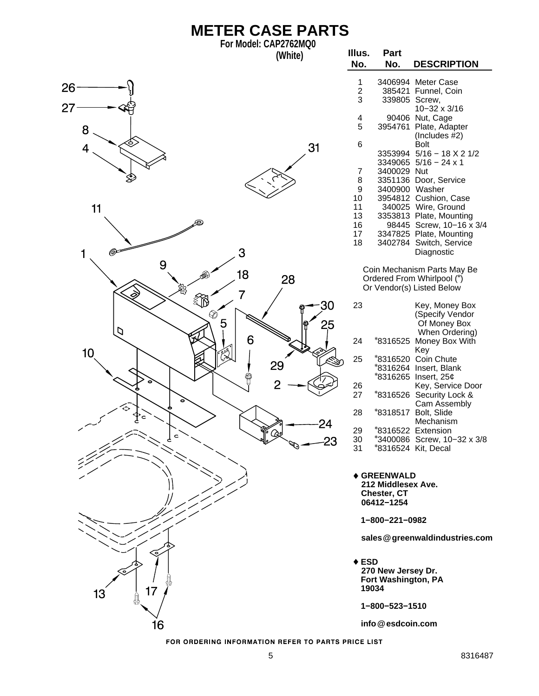| <b>METER CASE PARTS</b> |                       |                |                          |                                                                       |                                                                                        |  |  |
|-------------------------|-----------------------|----------------|--------------------------|-----------------------------------------------------------------------|----------------------------------------------------------------------------------------|--|--|
|                         | For Model: CAP2762MQ0 | (White)        | Illus.<br>No.            | Part<br>No.                                                           | <b>DESCRIPTION</b>                                                                     |  |  |
| 26<br>27                |                       |                | 1<br>$\sqrt{2}$<br>3     | 339805 Screw,                                                         | 3406994 Meter Case<br>385421 Funnel, Coin<br>10-32 x 3/16                              |  |  |
| 8                       |                       |                | 4<br>5                   |                                                                       | 90406 Nut, Cage<br>3954761 Plate, Adapter<br>(Includes $#2$ )                          |  |  |
| 4                       |                       | 31             | 6                        |                                                                       | <b>Bolt</b><br>3353994 5/16 - 18 X 2 1/2<br>3349065 $5/16 - 24 \times 1$               |  |  |
|                         |                       |                | 7<br>8                   | 3400029 Nut                                                           | 3351136 Door, Service                                                                  |  |  |
|                         |                       |                | $\boldsymbol{9}$<br>10   | 3400900 Washer                                                        | 3954812 Cushion, Case                                                                  |  |  |
| 11                      |                       |                | 11                       |                                                                       | 340025 Wire, Ground                                                                    |  |  |
|                         |                       |                | 13<br>16                 |                                                                       | 3353813 Plate, Mounting<br>98445 Screw, 10-16 x 3/4                                    |  |  |
|                         |                       |                | 17<br>18                 |                                                                       | 3347825 Plate, Mounting<br>3402784 Switch, Service                                     |  |  |
| 1                       | 3                     |                |                          |                                                                       | Diagnostic                                                                             |  |  |
| 9                       | 18<br>7               | 28             |                          |                                                                       | Coin Mechanism Parts May Be<br>Ordered From Whirlpool (*)<br>Or Vendor(s) Listed Below |  |  |
|                         | ∛∫<br>⊗<br>5          | 30<br>25       | 23                       |                                                                       | Key, Money Box<br>(Specify Vendor<br>Of Money Box                                      |  |  |
| כו<br>10                | 6                     |                | 24                       |                                                                       | When Ordering)<br>*8316525 Money Box With<br>Key                                       |  |  |
|                         |                       | 29             | 25                       |                                                                       | *8316520 Coin Chute<br>*8316264 Insert, Blank<br>*8316265 Insert, 25¢                  |  |  |
|                         |                       | $\overline{2}$ | 26<br>27                 |                                                                       | Key, Service Door<br>*8316526 Security Lock &<br>Cam Assembly                          |  |  |
|                         |                       | 24             | 28                       |                                                                       | *8318517 Bolt, Slide<br>Mechanism                                                      |  |  |
|                         |                       | 23             | 29<br>30<br>31           |                                                                       | *8316522 Extension<br>*3400086 Screw, 10-32 x 3/8<br>*8316524 Kit, Decal               |  |  |
|                         |                       |                |                          | <b>♦ GREENWALD</b><br>212 Middlesex Ave.<br>Chester, CT<br>06412-1254 |                                                                                        |  |  |
|                         |                       |                |                          | 1-800-221-0982                                                        |                                                                                        |  |  |
|                         |                       |                |                          |                                                                       | sales @greenwaldindustries.com                                                         |  |  |
| 17<br>13<br>ļ           |                       |                | $\triangle$ ESD<br>19034 | 270 New Jersey Dr.<br>Fort Washington, PA                             |                                                                                        |  |  |
|                         |                       |                |                          | 1-800-523-1510                                                        |                                                                                        |  |  |
| 16                      |                       |                |                          | info@esdcoin.com                                                      |                                                                                        |  |  |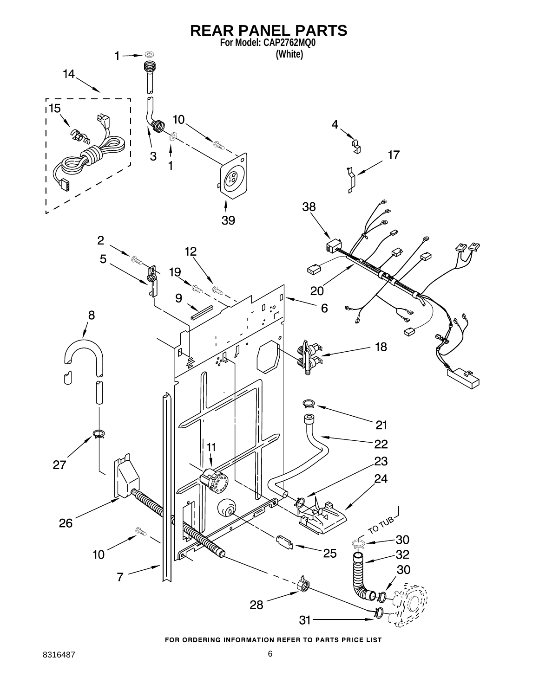

FOR ORDERING INFORMATION REFER TO PARTS PRICE LIST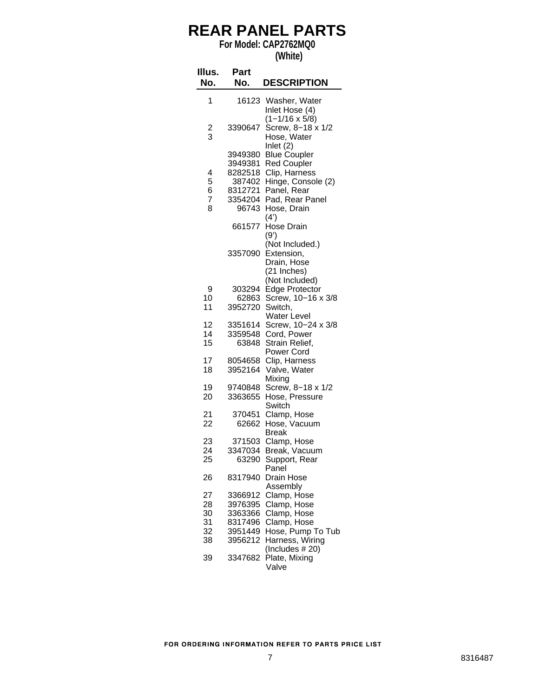# **REAR PANEL PARTS**

**For Model: CAP2762MQ0**

| (White) |
|---------|
|---------|

| Illus.<br>No.                    | Part<br>No.                                                            | <b>DESCRIPTION</b>                                                                                                                        |
|----------------------------------|------------------------------------------------------------------------|-------------------------------------------------------------------------------------------------------------------------------------------|
| 1                                | 16123                                                                  | Washer, Water<br>Inlet Hose (4)                                                                                                           |
| $\frac{2}{3}$                    | 3390647                                                                | $(1 - 1/16 \times 5/8)$<br>Screw, 8-18 x 1/2<br>Hose, Water<br>Inlet (2)                                                                  |
| 4<br>5<br>6<br>7<br>8            | 3949380<br>3949381<br>8282518<br>387402<br>8312721<br>3354204<br>96743 | <b>Blue Coupler</b><br><b>Red Coupler</b><br>Clip, Harness<br>Hinge, Console (2)<br>Panel, Rear<br>Pad, Rear Panel<br>Hose, Drain<br>(4') |
|                                  | 661577<br>3357090                                                      | Hose Drain<br>(9')<br>(Not Included.)<br>Extension,<br>Drain, Hose<br>(21 Inches)<br>(Not Included)                                       |
| 9<br>10<br>11                    | 303294<br>62863<br>3952720                                             | <b>Edge Protector</b><br>Screw, 10-16 x 3/8<br>Switch,<br>Water Level                                                                     |
| 12<br>14<br>15                   | 3351614<br>3359548<br>63848                                            | Screw, 10-24 x 3/8<br>Cord, Power<br>Strain Relief,<br>Power Cord                                                                         |
| 17<br>18                         | 8054658<br>3952164                                                     | Clip, Harness<br>Valve, Water<br>Mixing                                                                                                   |
| 19<br>20                         | 9740848<br>3363655                                                     | Screw, 8-18 x 1/2<br>Hose, Pressure<br>Switch                                                                                             |
| 21<br>22                         | 370451<br>62662                                                        | Clamp, Hose<br>Hose, Vacuum<br>Break                                                                                                      |
| 23<br>24<br>25                   | 371503<br>3347034<br>63290                                             | Clamp, Hose<br>Break, Vacuum<br>Support, Rear<br>Panel                                                                                    |
| 26                               | 8317940                                                                | Drain Hose<br>Assembly                                                                                                                    |
| 27<br>28<br>30<br>31<br>32<br>38 | 3366912<br>3976395<br>3363366<br>8317496<br>3951449<br>3956212         | Clamp, Hose<br>Clamp, Hose<br>Clamp, Hose<br>Clamp, Hose<br>Hose, Pump To Tub<br>Harness, Wiring<br>(Includes #20)                        |
| 39                               | 3347682                                                                | Plate, Mixing<br>Valve                                                                                                                    |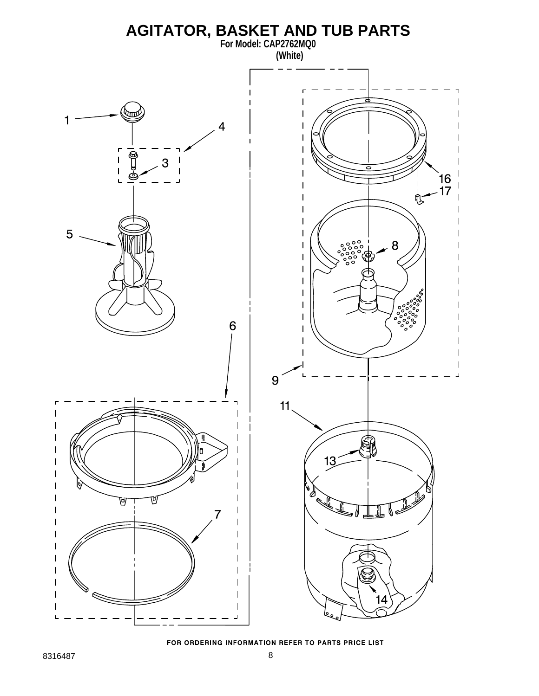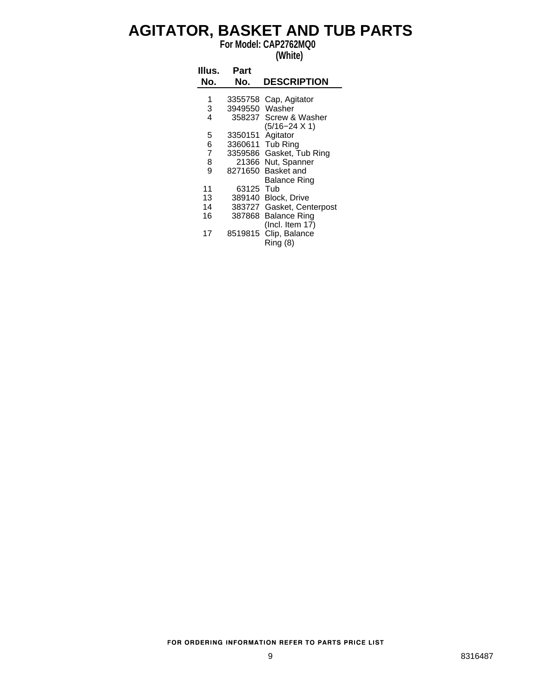### **AGITATOR, BASKET AND TUB PARTS**

**For Model: CAP2762MQ0**

#### **(White)**

| Illus.<br>No.  | Part<br>No.      | <b>DESCRIPTION</b>        |
|----------------|------------------|---------------------------|
| 1              | 3355758          | Cap, Agitator             |
| 3              | 3949550 Washer   |                           |
| 4              |                  | 358237 Screw & Washer     |
|                |                  | $(5/16 - 24 \times 1)$    |
| 5              | 3350151 Agitator |                           |
| 6              |                  | 3360611 Tub Ring          |
| $\overline{7}$ |                  | 3359586 Gasket, Tub Ring  |
| 8              |                  | 21366 Nut, Spanner        |
| 9              | 8271650          | Basket and                |
|                |                  | Balance Ring              |
| 11             | 63125 Tub        |                           |
| 13             |                  | 389140 Block, Drive       |
| 14             |                  | 383727 Gasket, Centerpost |
| 16             | 387868           | <b>Balance Ring</b>       |
|                |                  | (Incl. Item 17)           |
| 17             | 8519815          | Clip, Balance             |
|                |                  | Ring(8)                   |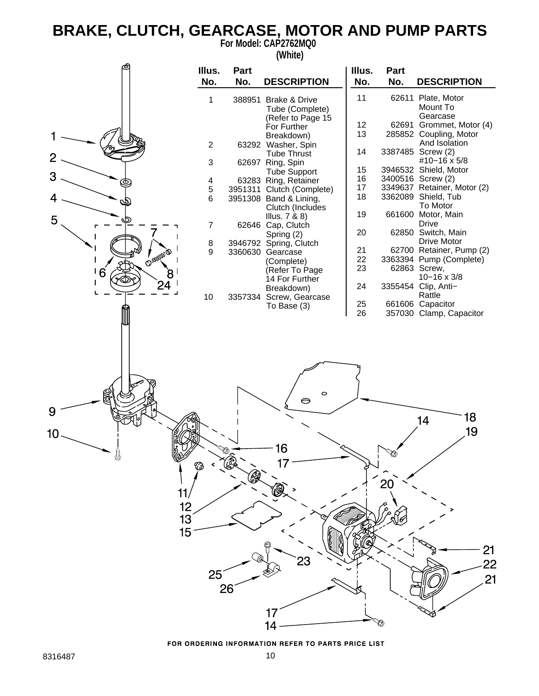# **BRAKE, CLUTCH, GEARCASE, MOTOR AND PUMP PARTS**

**For Model: CAP2762MQ0**



FOR ORDERING INFORMATION REFER TO PARTS PRICE LIST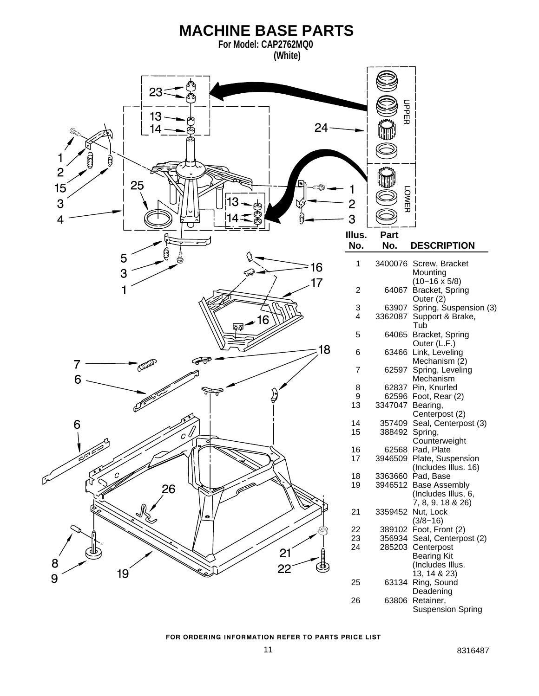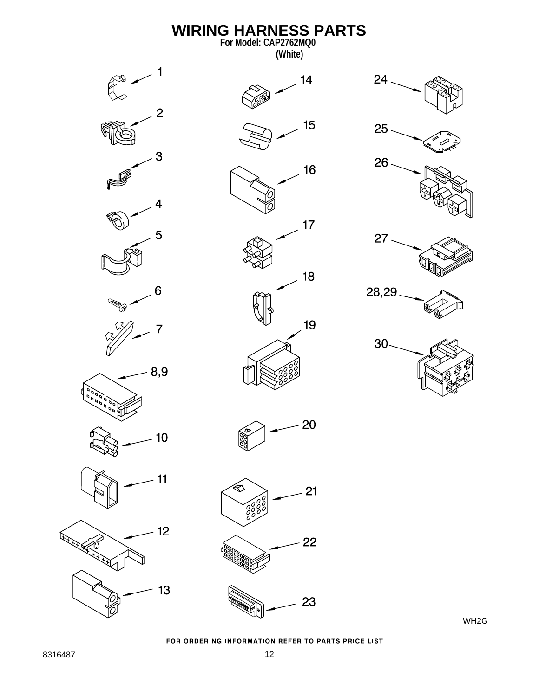

WH2G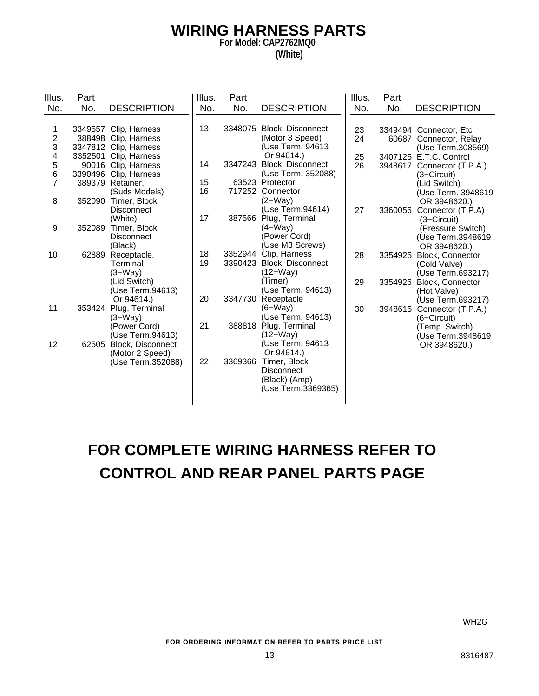#### **WIRING HARNESS PARTS For Model: CAP2762MQ0 (White)**

| Illus.         | Part    |                       | Illus. | Part    |                           | Illus. | Part    |                         |
|----------------|---------|-----------------------|--------|---------|---------------------------|--------|---------|-------------------------|
| No.            | No.     | <b>DESCRIPTION</b>    | No.    | No.     | <b>DESCRIPTION</b>        | No.    | No.     | <b>DESCRIPTION</b>      |
|                |         |                       |        |         |                           |        |         |                         |
| 1              |         | 3349557 Clip, Harness | 13     |         | 3348075 Block, Disconnect | 23     |         | 3349494 Connector, Etc  |
| $\frac{2}{3}$  |         | 388498 Clip, Harness  |        |         | (Motor 3 Speed)           | 24     | 60687   | Connector, Relay        |
|                |         | 3347812 Clip, Harness |        |         | (Use Term. 94613          |        |         | (Use Term.308569)       |
| 4              | 3352501 | Clip, Harness         |        |         | Or 94614.)                | 25     |         | 3407125 E.T.C. Control  |
| 5<br>6         |         | 90016 Clip, Harness   | 14     | 3347243 | Block, Disconnect         | 26     | 3948617 | Connector (T.P.A.)      |
|                |         | 3390496 Clip, Harness |        |         | (Use Term. 352088)        |        |         | (3–Circuit)             |
| $\overline{7}$ |         | 389379 Retainer,      | 15     |         | 63523 Protector           |        |         | (Lid Switch)            |
|                |         | (Suds Models)         | 16     |         | 717252 Connector          |        |         | (Use Term. 3948619      |
| 8              | 352090  | Timer, Block          |        |         | $(2-Way)$                 |        |         | OR 3948620.)            |
|                |         | <b>Disconnect</b>     |        |         | (Use Term.94614)          | 27     | 3360056 | Connector (T.P.A)       |
|                |         | (White)               | 17     | 387566  | Plug, Terminal            |        |         | (3-Circuit)             |
| 9              | 352089  | Timer, Block          |        |         | $(4-Way)$                 |        |         | (Pressure Switch)       |
|                |         | <b>Disconnect</b>     |        |         | (Power Cord)              |        |         | (Use Term.3948619       |
|                |         | (Black)               |        |         | (Use M3 Screws)           |        |         | OR 3948620.)            |
| 10             |         | 62889 Receptacle,     | 18     |         | 3352944 Clip, Harness     | 28     | 3354925 | Block, Connector        |
|                |         | Terminal              | 19     |         | 3390423 Block, Disconnect |        |         | (Cold Valve)            |
|                |         | $(3-Way)$             |        |         | (12–Way)                  |        |         | (Use Term.693217)       |
|                |         | (Lid Switch)          |        |         | Timer)                    | 29     | 3354926 | <b>Block, Connector</b> |
|                |         | (Use Term.94613)      |        |         | (Use Term. 94613)         |        |         | (Hot Valve)             |
|                |         | Or 94614.)            | 20     | 3347730 | Receptacle                |        |         | (Use Term.693217)       |
| 11             |         | 353424 Plug, Terminal |        |         | (6–Way)                   | 30     | 3948615 | Connector (T.P.A.)      |
|                |         | $(3-\dot{W}ay)$       |        |         | (Use Term. 94613)         |        |         | (6–Circuit)             |
|                |         | (Power Cord)          | 21     |         | 388818 Plug, Terminal     |        |         | (Temp. Switch)          |
|                |         | (Use Term.94613)      |        |         | (12–Way)                  |        |         | (Use Term.3948619       |
| 12             | 62505   | Block, Disconnect     |        |         | (Use Term. 94613          |        |         | OR 3948620.)            |
|                |         | (Motor 2 Speed)       |        |         | Or 94614.)                |        |         |                         |
|                |         | (Use Term.352088)     | 22     | 3369366 | Timer, Block              |        |         |                         |
|                |         |                       |        |         | <b>Disconnect</b>         |        |         |                         |
|                |         |                       |        |         | (Black) (Amp)             |        |         |                         |
|                |         |                       |        |         | (Use Term.3369365)        |        |         |                         |
|                |         |                       |        |         |                           |        |         |                         |

# **FOR COMPLETE WIRING HARNESS REFER TO CONTROL AND REAR PANEL PARTS PAGE**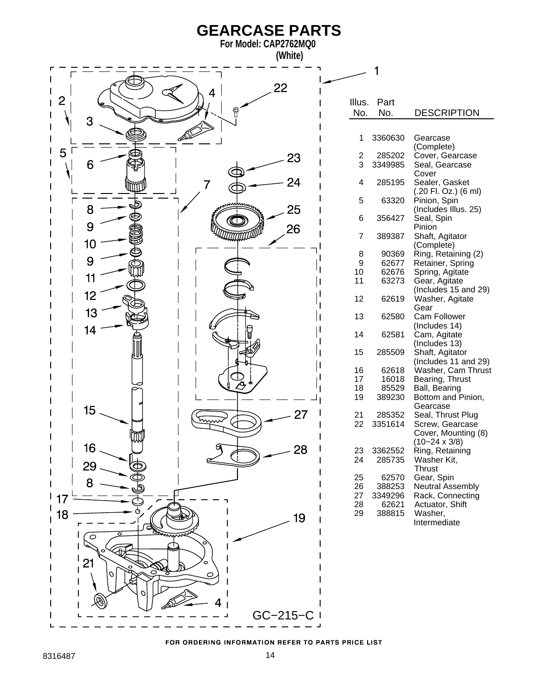

FOR ORDERING INFORMATION REFER TO PARTS PRICE LIST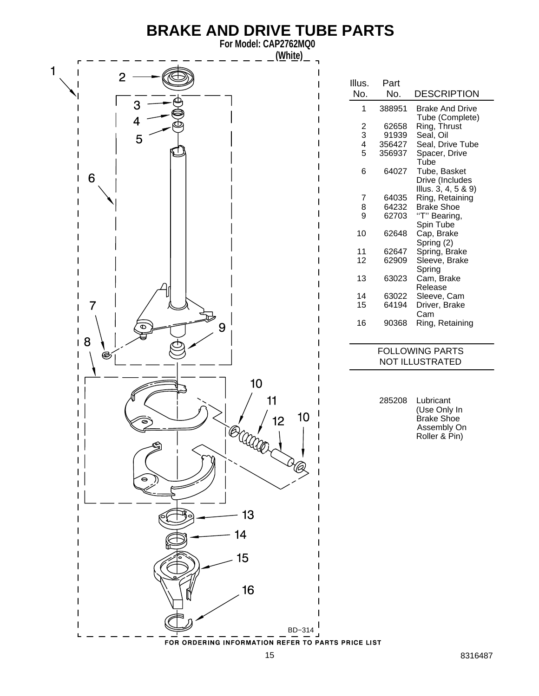# **BRAKE AND DRIVE TUBE PARTS**

**For Model: CAP2762MQ0**

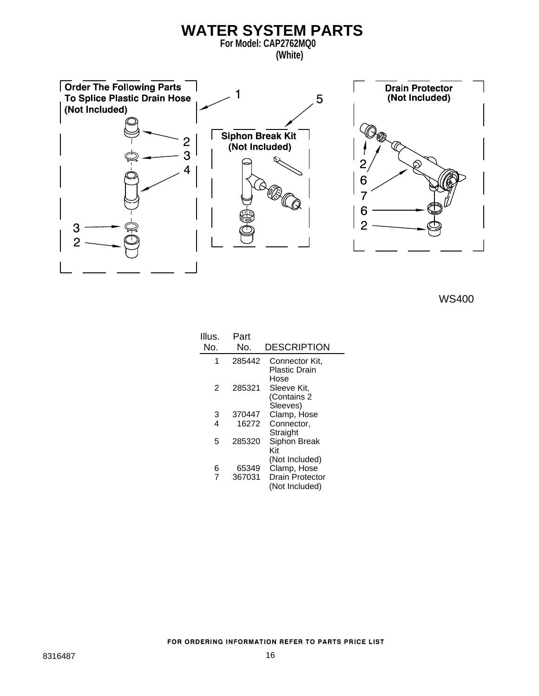

WS400

| Illus.<br>No. | Part<br>No.     | <b>DESCRIPTION</b>                                                        |
|---------------|-----------------|---------------------------------------------------------------------------|
| 1             | 285442          | Connector Kit,<br>Plastic Drain<br>Hose                                   |
| 2             | 285321          | Sleeve Kit,<br>(Contains 2<br>Sleeves)                                    |
| 3             | 370447          | Clamp, Hose                                                               |
| 4             | 16272           | Connector,<br>Straight                                                    |
| 5             | 285320          | Siphon Break<br>Kit                                                       |
| 6<br>7        | 65349<br>367031 | (Not Included)<br>Clamp, Hose<br><b>Drain Protector</b><br>(Not Included) |